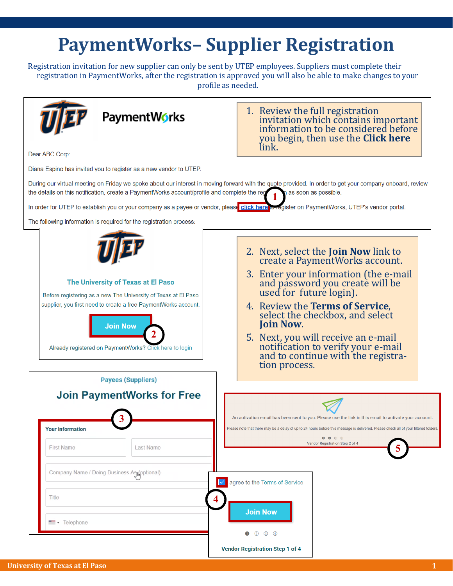## **PaymentWorks– Supplier Registration**

Registration invitation for new supplier can only be sent by UTEP employees. Suppliers must complete their registration in PaymentWorks, after the registration is approved you will also be able to make changes to your profile as needed.

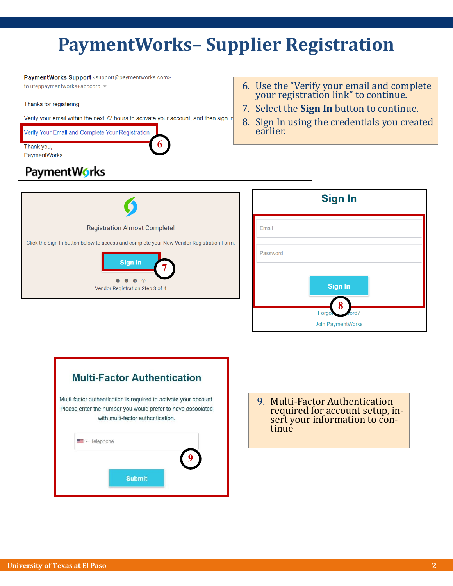## **PaymentWorks– Supplier Registration**





9. Multi-Factor Authentication required for account setup, insert your information to continue